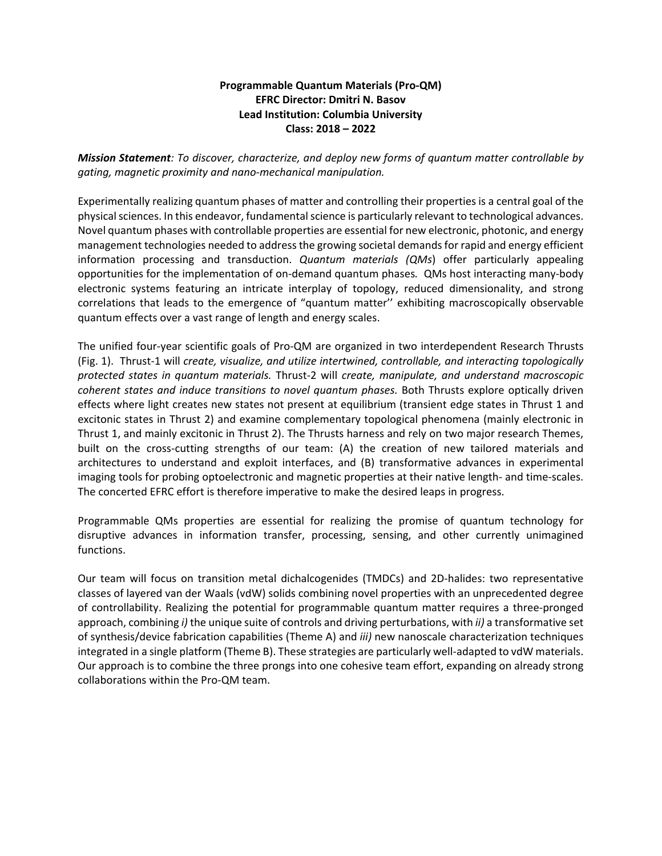## **Programmable Quantum Materials (Pro-QM) EFRC Director: Dmitri N. Basov Lead Institution: Columbia University Class: 2018 – 2022**

*Mission Statement: To discover, characterize, and deploy new forms of quantum matter controllable by gating, magnetic proximity and nano-mechanical manipulation.*

Experimentally realizing quantum phases of matter and controlling their properties is a central goal of the physical sciences. In this endeavor, fundamental science is particularly relevant to technological advances. Novel quantum phases with controllable properties are essential for new electronic, photonic, and energy management technologies needed to address the growing societal demands for rapid and energy efficient information processing and transduction. *Quantum materials (QMs*) offer particularly appealing opportunities for the implementation of on-demand quantum phases*.* QMs host interacting many-body electronic systems featuring an intricate interplay of topology, reduced dimensionality, and strong correlations that leads to the emergence of "quantum matter'' exhibiting macroscopically observable quantum effects over a vast range of length and energy scales.

The unified four-year scientific goals of Pro-QM are organized in two interdependent Research Thrusts (Fig. 1). Thrust-1 will *create, visualize, and utilize intertwined, controllable, and interacting topologically protected states in quantum materials.* Thrust-2 will *create, manipulate, and understand macroscopic coherent states and induce transitions to novel quantum phases.* Both Thrusts explore optically driven effects where light creates new states not present at equilibrium (transient edge states in Thrust 1 and excitonic states in Thrust 2) and examine complementary topological phenomena (mainly electronic in Thrust 1, and mainly excitonic in Thrust 2). The Thrusts harness and rely on two major research Themes, built on the cross-cutting strengths of our team: (A) the creation of new tailored materials and architectures to understand and exploit interfaces, and (B) transformative advances in experimental imaging tools for probing optoelectronic and magnetic properties at their native length- and time-scales. The concerted EFRC effort is therefore imperative to make the desired leaps in progress.

Programmable QMs properties are essential for realizing the promise of quantum technology for disruptive advances in information transfer, processing, sensing, and other currently unimagined functions.

Our team will focus on transition metal dichalcogenides (TMDCs) and 2D-halides: two representative classes of layered van der Waals (vdW) solids combining novel properties with an unprecedented degree of controllability. Realizing the potential for programmable quantum matter requires a three-pronged approach, combining *i)* the unique suite of controls and driving perturbations, with *ii)* a transformative set of synthesis/device fabrication capabilities (Theme A) and *iii)* new nanoscale characterization techniques integrated in a single platform (Theme B). These strategies are particularly well-adapted to vdW materials. Our approach is to combine the three prongs into one cohesive team effort, expanding on already strong collaborations within the Pro-QM team.